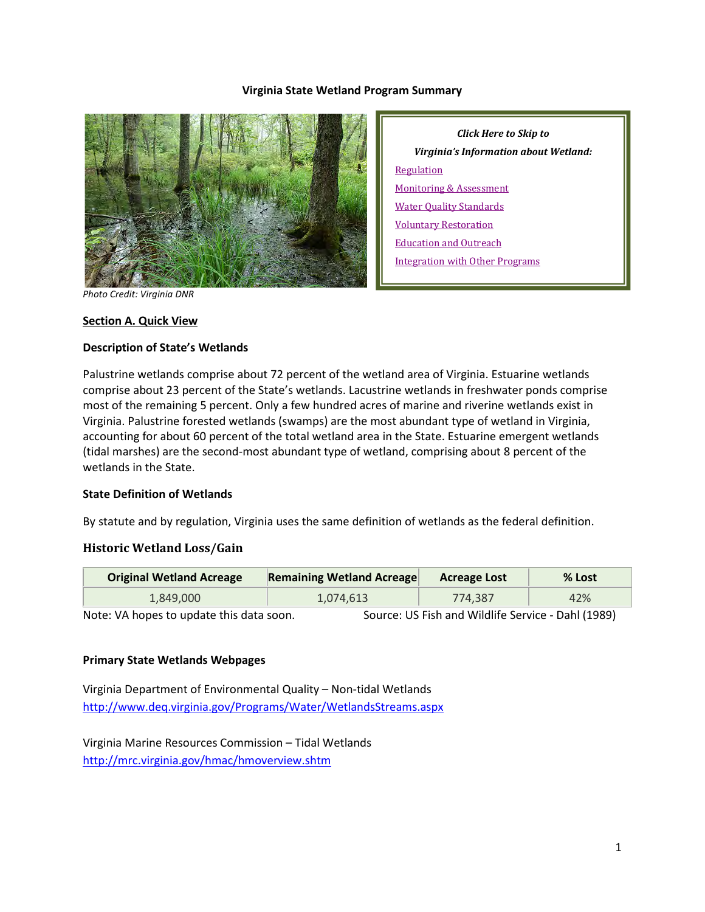#### **Virginia State Wetland Program Summary**



*Click Here to Skip to Virginia's Information about Wetland:* **[Regulation](#page-2-0)** [Monitoring & Assessment](#page-7-0) [Water Quality Standards](#page-9-0) [Voluntary Restoration](#page-9-1) [Education and Outreach](#page-11-0) [Integration with Other Programs](#page-12-0)

*Photo Credit: Virginia DNR*

#### **Section A. Quick View**

#### **Description of State's Wetlands**

Palustrine wetlands comprise about 72 percent of the wetland area of Virginia. Estuarine wetlands comprise about 23 percent of the State's wetlands. Lacustrine wetlands in freshwater ponds comprise most of the remaining 5 percent. Only a few hundred acres of marine and riverine wetlands exist in Virginia. Palustrine forested wetlands (swamps) are the most abundant type of wetland in Virginia, accounting for about 60 percent of the total wetland area in the State. Estuarine emergent wetlands (tidal marshes) are the second-most abundant type of wetland, comprising about 8 percent of the wetlands in the State.

#### **State Definition of Wetlands**

By statute and by regulation, Virginia uses the same definition of wetlands as the federal definition.

#### **Historic Wetland Loss/Gain**

| <b>Original Wetland Acreage</b>          | <b>Remaining Wetland Acreage</b> | Acreage Lost                                       | % Lost |
|------------------------------------------|----------------------------------|----------------------------------------------------|--------|
| 1.849.000                                | 1,074,613                        | 774.387                                            | 42%    |
| Note: VA hopes to update this data soon. |                                  | Source: US Fish and Wildlife Service - Dahl (1989) |        |

#### **Primary State Wetlands Webpages**

Virginia Department of Environmental Quality – Non-tidal Wetlands <http://www.deq.virginia.gov/Programs/Water/WetlandsStreams.aspx>

Virginia Marine Resources Commission – Tidal Wetlands http://mrc.virginia.gov/hmac/hmoverview.shtm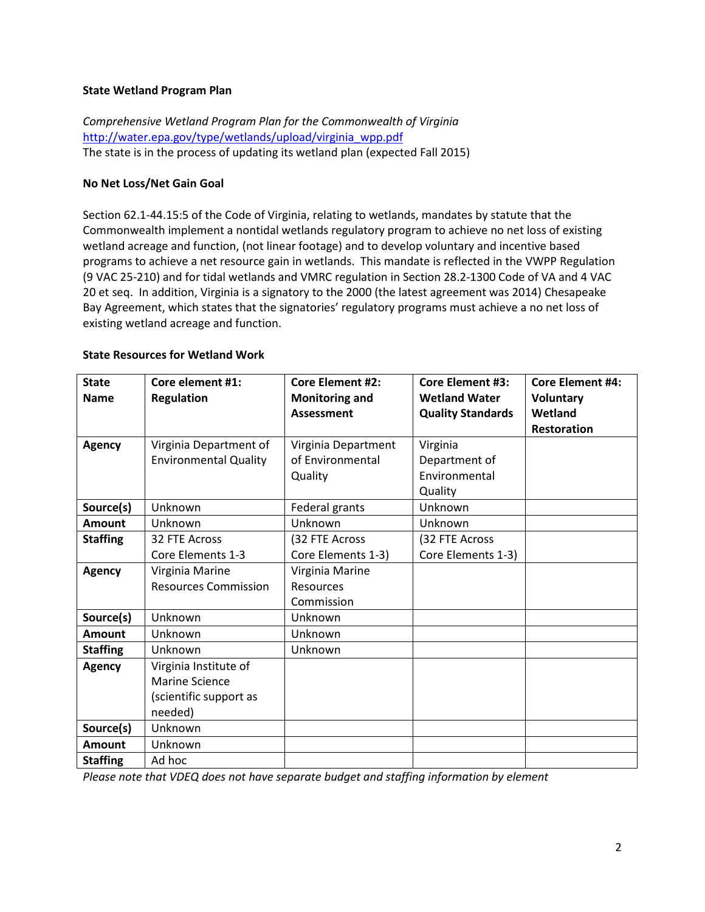## **State Wetland Program Plan**

*Comprehensive Wetland Program Plan for the Commonwealth of Virginia*  [http://water.epa.gov/type/wetlands/upload/virginia\\_wpp.pdf](http://water.epa.gov/type/wetlands/upload/virginia_wpp.pdf) The state is in the process of updating its wetland plan (expected Fall 2015)

## **No Net Loss/Net Gain Goal**

Section 62.1-44.15:5 of the Code of Virginia, relating to wetlands, mandates by statute that the Commonwealth implement a nontidal wetlands regulatory program to achieve no net loss of existing wetland acreage and function, (not linear footage) and to develop voluntary and incentive based programs to achieve a net resource gain in wetlands. This mandate is reflected in the VWPP Regulation (9 VAC 25-210) and for tidal wetlands and VMRC regulation in Section 28.2-1300 Code of VA and 4 VAC 20 et seq. In addition, Virginia is a signatory to the 2000 (the latest agreement was 2014) Chesapeake Bay Agreement, which states that the signatories' regulatory programs must achieve a no net loss of existing wetland acreage and function.

## **State Resources for Wetland Work**

| <b>State</b><br><b>Name</b> | Core element #1:<br><b>Regulation</b> | <b>Core Element #2:</b><br><b>Monitoring and</b> | <b>Core Element #3:</b><br><b>Wetland Water</b> | <b>Core Element #4:</b><br>Voluntary |
|-----------------------------|---------------------------------------|--------------------------------------------------|-------------------------------------------------|--------------------------------------|
|                             |                                       | <b>Assessment</b>                                | <b>Quality Standards</b>                        | Wetland                              |
|                             |                                       |                                                  |                                                 | <b>Restoration</b>                   |
| <b>Agency</b>               | Virginia Department of                | Virginia Department                              | Virginia                                        |                                      |
|                             | <b>Environmental Quality</b>          | of Environmental                                 | Department of                                   |                                      |
|                             |                                       | Quality                                          | Environmental                                   |                                      |
|                             |                                       |                                                  | Quality                                         |                                      |
| Source(s)                   | Unknown                               | Federal grants                                   | Unknown                                         |                                      |
| <b>Amount</b>               | Unknown                               | Unknown                                          | Unknown                                         |                                      |
| <b>Staffing</b>             | 32 FTE Across                         | (32 FTE Across                                   | (32 FTE Across                                  |                                      |
|                             | Core Elements 1-3                     | Core Elements 1-3)                               | Core Elements 1-3)                              |                                      |
| <b>Agency</b>               | Virginia Marine                       | Virginia Marine                                  |                                                 |                                      |
|                             | <b>Resources Commission</b>           | <b>Resources</b>                                 |                                                 |                                      |
|                             |                                       | Commission                                       |                                                 |                                      |
| Source(s)                   | Unknown                               | Unknown                                          |                                                 |                                      |
| <b>Amount</b>               | Unknown                               | Unknown                                          |                                                 |                                      |
| <b>Staffing</b>             | Unknown                               | Unknown                                          |                                                 |                                      |
| <b>Agency</b>               | Virginia Institute of                 |                                                  |                                                 |                                      |
|                             | <b>Marine Science</b>                 |                                                  |                                                 |                                      |
|                             | (scientific support as                |                                                  |                                                 |                                      |
|                             | needed)                               |                                                  |                                                 |                                      |
| Source(s)                   | Unknown                               |                                                  |                                                 |                                      |
| <b>Amount</b>               | Unknown                               |                                                  |                                                 |                                      |
| <b>Staffing</b>             | Ad hoc                                |                                                  |                                                 |                                      |

*Please note that VDEQ does not have separate budget and staffing information by element*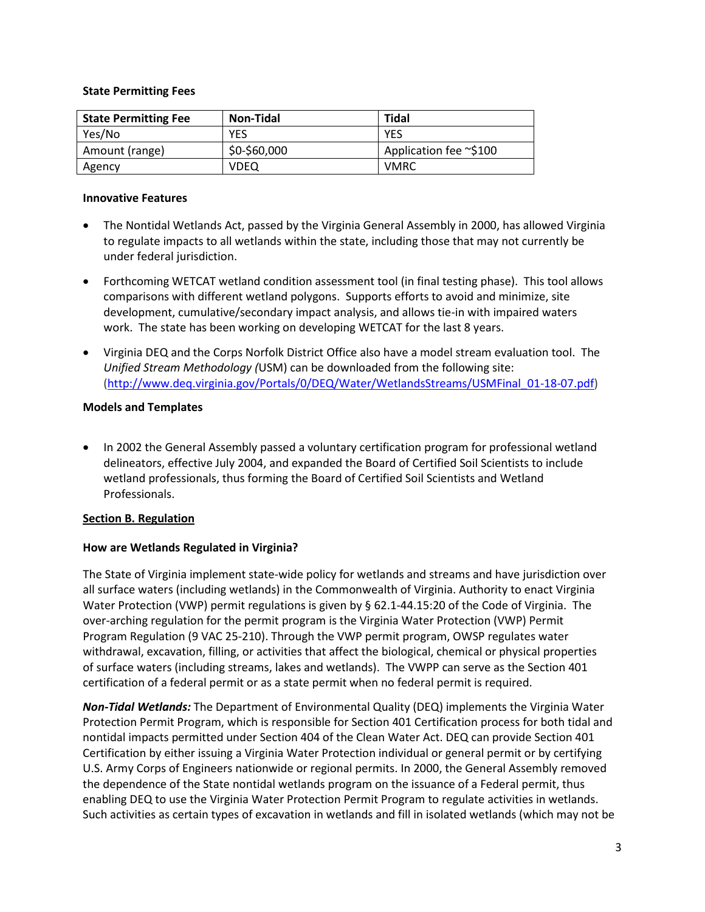### **State Permitting Fees**

| <b>State Permitting Fee</b> | <b>Non-Tidal</b> | Tidal                  |
|-----------------------------|------------------|------------------------|
| Yes/No                      | YES              | YES                    |
| Amount (range)              | \$0-\$60,000     | Application fee ~\$100 |
| Agency                      | <b>VDEQ</b>      | VMRC                   |

#### **Innovative Features**

- The Nontidal Wetlands Act, passed by the Virginia General Assembly in 2000, has allowed Virginia to regulate impacts to all wetlands within the state, including those that may not currently be under federal jurisdiction.
- Forthcoming WETCAT wetland condition assessment tool (in final testing phase). This tool allows comparisons with different wetland polygons. Supports efforts to avoid and minimize, site development, cumulative/secondary impact analysis, and allows tie-in with impaired waters work. The state has been working on developing WETCAT for the last 8 years.
- Virginia DEQ and the Corps Norfolk District Office also have a model stream evaluation tool. The *Unified Stream Methodology (*USM) can be downloaded from the following site: [\(http://www.deq.virginia.gov/Portals/0/DEQ/Water/WetlandsStreams/USMFinal\\_01-18-07.pdf\)](http://www.deq.virginia.gov/Portals/0/DEQ/Water/WetlandsStreams/USMFinal_01-18-07.pdf)

#### **Models and Templates**

• In 2002 the General Assembly passed a voluntary certification program for professional wetland delineators, effective July 2004, and expanded the Board of Certified Soil Scientists to include wetland professionals, thus forming the Board of Certified Soil Scientists and Wetland Professionals.

## <span id="page-2-0"></span>**Section B. Regulation**

## **How are Wetlands Regulated in Virginia?**

The State of Virginia implement state-wide policy for wetlands and streams and have jurisdiction over all surface waters (including wetlands) in the Commonwealth of Virginia. Authority to enact Virginia Water Protection (VWP) permit regulations is given by [§ 62.1-44.15:20](http://lis.virginia.gov/cgi-bin/legp604.exe?000+cod+62.1-44.15C20) of the Code of Virginia. The over-arching regulation for the permit program is the Virginia Water Protection (VWP) Permit Program Regulation (9 VAC 25-210). Through the VWP permit program, OWSP regulates water withdrawal, excavation, filling, or activities that affect the biological, chemical or physical properties of surface waters (including streams, lakes and wetlands). The VWPP can serve as the Section 401 certification of a federal permit or as a state permit when no federal permit is required.

*Non-Tidal Wetlands:* The Department of Environmental Quality (DEQ) implements the Virginia Water Protection Permit Program, which is responsible for Section 401 Certification process for both tidal and nontidal impacts permitted under Section 404 of the Clean Water Act. DEQ can provide Section 401 Certification by either issuing a Virginia Water Protection individual or general permit or by certifying U.S. Army Corps of Engineers nationwide or regional permits. In 2000, the General Assembly removed the dependence of the State nontidal wetlands program on the issuance of a Federal permit, thus enabling DEQ to use the Virginia Water Protection Permit Program to regulate activities in wetlands. Such activities as certain types of excavation in wetlands and fill in isolated wetlands (which may not be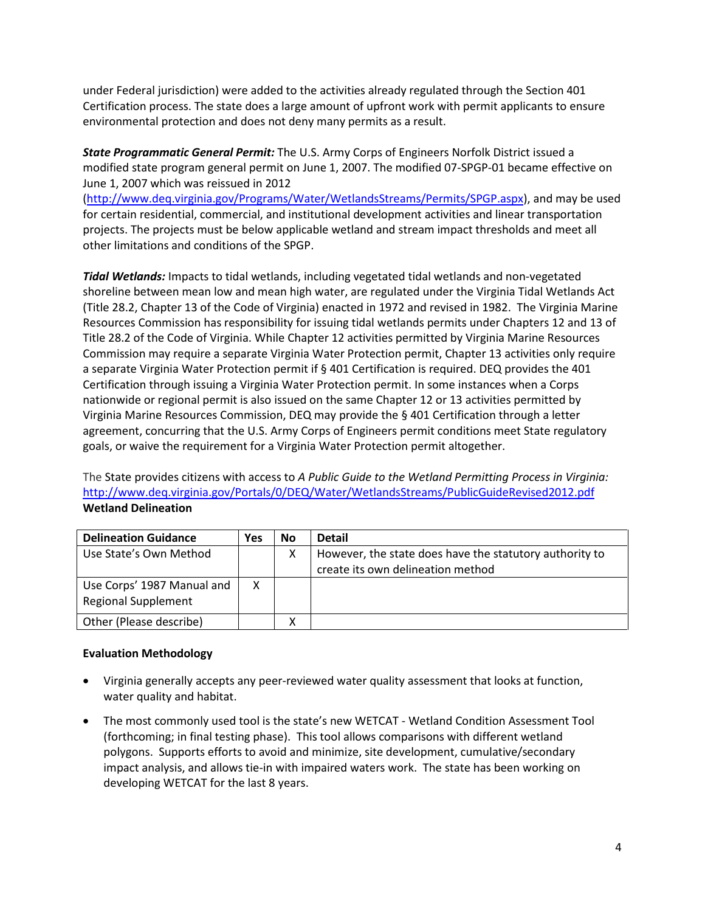under Federal jurisdiction) were added to the activities already regulated through the Section 401 Certification process. The state does a large amount of upfront work with permit applicants to ensure environmental protection and does not deny many permits as a result.

*State Programmatic General Permit:* The U.S. Army Corps of Engineers Norfolk District issued a modified state program general permit on June 1, 2007. The modified 07-SPGP-01 became effective on June 1, 2007 which was reissued in 2012

[\(http://www.deq.virginia.gov/Programs/Water/WetlandsStreams/Permits/SPGP.aspx\)](http://www.deq.virginia.gov/Programs/Water/WetlandsStreams/Permits/SPGP.aspx), and may be used for certain residential, commercial, and institutional development activities and linear transportation projects. The projects must be below applicable wetland and stream impact thresholds and meet all other limitations and conditions of the SPGP.

*Tidal Wetlands:* Impacts to tidal wetlands, including vegetated tidal wetlands and non-vegetated shoreline between mean low and mean high water, are regulated under the Virginia Tidal Wetlands Act (Title 28.2, Chapter 13 of the Code of Virginia) enacted in 1972 and revised in 1982. The Virginia Marine Resources Commission has responsibility for issuing tidal wetlands permits under Chapters 12 and 13 of Title 28.2 of the Code of Virginia. While Chapter 12 activities permitted by Virginia Marine Resources Commission may require a separate Virginia Water Protection permit, Chapter 13 activities only require a separate Virginia Water Protection permit if § 401 Certification is required. DEQ provides the 401 Certification through issuing a Virginia Water Protection permit. In some instances when a Corps nationwide or regional permit is also issued on the same Chapter 12 or 13 activities permitted by Virginia Marine Resources Commission, DEQ may provide the § 401 Certification through a letter agreement, concurring that the U.S. Army Corps of Engineers permit conditions meet State regulatory goals, or waive the requirement for a Virginia Water Protection permit altogether.

The State provides citizens with access to *A Public Guide to the Wetland Permitting Process in Virginia:* <http://www.deq.virginia.gov/Portals/0/DEQ/Water/WetlandsStreams/PublicGuideRevised2012.pdf> **Wetland Delineation**

| <b>Delineation Guidance</b> | Yes | No | <b>Detail</b>                                           |
|-----------------------------|-----|----|---------------------------------------------------------|
| Use State's Own Method      |     | Χ  | However, the state does have the statutory authority to |
|                             |     |    | create its own delineation method                       |
| Use Corps' 1987 Manual and  | χ   |    |                                                         |
| <b>Regional Supplement</b>  |     |    |                                                         |
| Other (Please describe)     |     | v  |                                                         |

## **Evaluation Methodology**

- Virginia generally accepts any peer-reviewed water quality assessment that looks at function, water quality and habitat.
- The most commonly used tool is the state's new WETCAT Wetland Condition Assessment Tool (forthcoming; in final testing phase). This tool allows comparisons with different wetland polygons. Supports efforts to avoid and minimize, site development, cumulative/secondary impact analysis, and allows tie-in with impaired waters work. The state has been working on developing WETCAT for the last 8 years.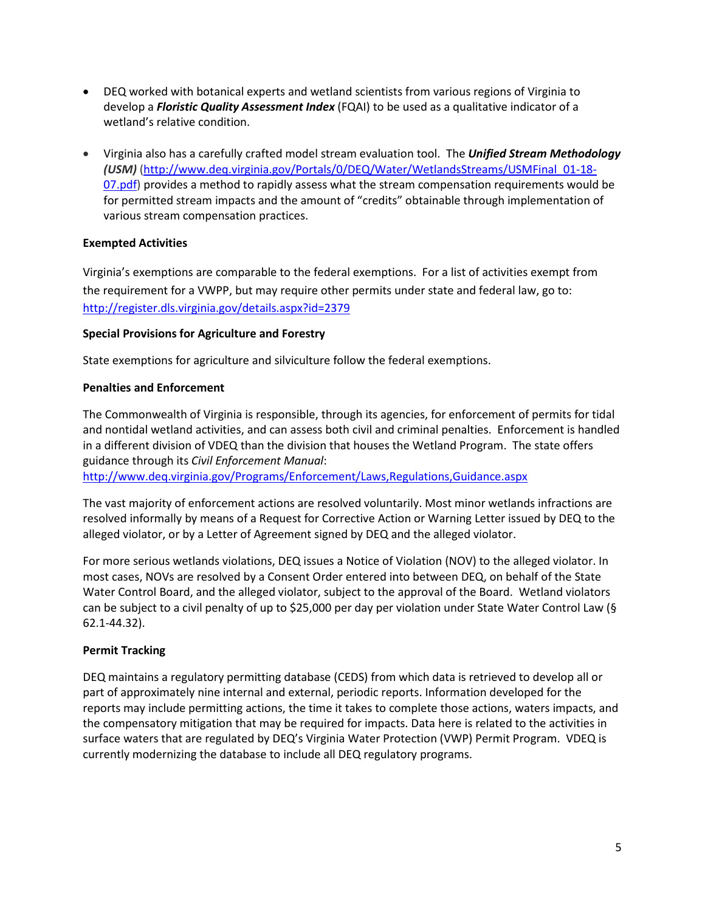- DEQ worked with botanical experts and wetland scientists from various regions of Virginia to develop a *Floristic Quality Assessment Index* (FQAI) to be used as a qualitative indicator of a wetland's relative condition.
- Virginia also has a carefully crafted model stream evaluation tool. The *Unified Stream Methodology (USM)* [\(http://www.deq.virginia.gov/Portals/0/DEQ/Water/WetlandsStreams/USMFinal\\_01-18-](http://www.deq.virginia.gov/Portals/0/DEQ/Water/WetlandsStreams/USMFinal_01-18-07.pdf) [07.pdf\)](http://www.deq.virginia.gov/Portals/0/DEQ/Water/WetlandsStreams/USMFinal_01-18-07.pdf) provides a method to rapidly assess what the stream compensation requirements would be for permitted stream impacts and the amount of "credits" obtainable through implementation of various stream compensation practices.

## **Exempted Activities**

Virginia's exemptions are comparable to the federal exemptions. For a list of activities exempt from the requirement for a VWPP, but may require other permits under state and federal law, go to: <http://register.dls.virginia.gov/details.aspx?id=2379>

# **Special Provisions for Agriculture and Forestry**

State exemptions for agriculture and silviculture follow the federal exemptions.

# **Penalties and Enforcement**

The Commonwealth of Virginia is responsible, through its agencies, for enforcement of permits for tidal and nontidal wetland activities, and can assess both civil and criminal penalties. Enforcement is handled in a different division of VDEQ than the division that houses the Wetland Program. The state offers guidance through its *Civil Enforcement Manual*:

<http://www.deq.virginia.gov/Programs/Enforcement/Laws,Regulations,Guidance.aspx>

The vast majority of enforcement actions are resolved voluntarily. Most minor wetlands infractions are resolved informally by means of a Request for Corrective Action or Warning Letter issued by DEQ to the alleged violator, or by a Letter of Agreement signed by DEQ and the alleged violator.

For more serious wetlands violations, DEQ issues a Notice of Violation (NOV) to the alleged violator. In most cases, NOVs are resolved by a Consent Order entered into between DEQ, on behalf of the State Water Control Board, and the alleged violator, subject to the approval of the Board. Wetland violators can be subject to a civil penalty of up to \$25,000 per day per violation under State Water Control Law (§ 62.1-44.32).

# **Permit Tracking**

DEQ maintains a regulatory permitting database (CEDS) from which data is retrieved to develop all or part of approximately nine internal and external, periodic reports. Information developed for the reports may include permitting actions, the time it takes to complete those actions, waters impacts, and the compensatory mitigation that may be required for impacts. Data here is related to the activities in surface waters that are regulated by DEQ's Virginia Water Protection (VWP) Permit Program. VDEQ is currently modernizing the database to include all DEQ regulatory programs.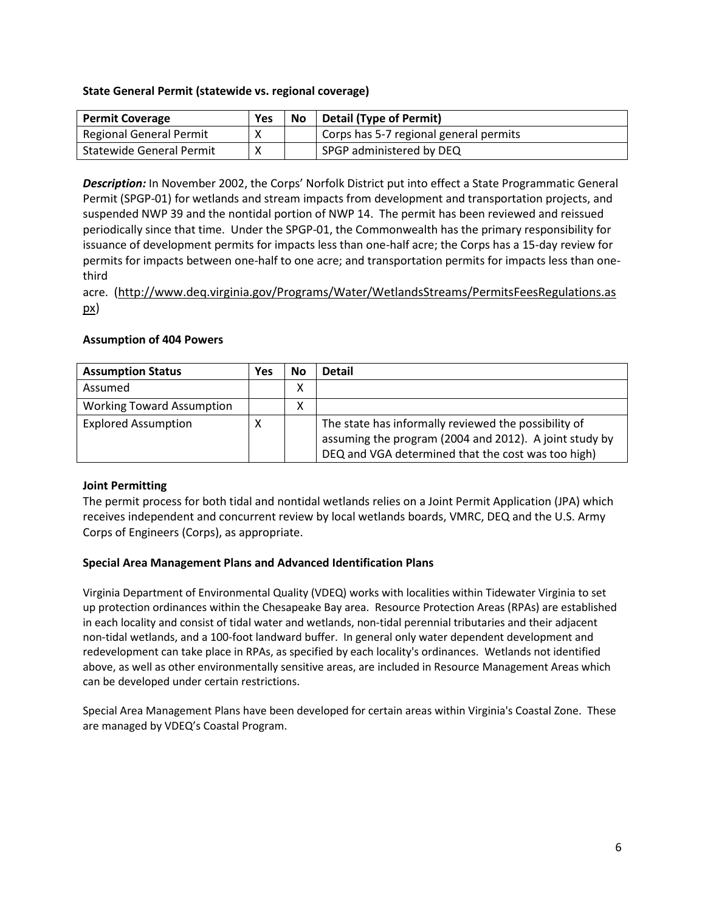#### **State General Permit (statewide vs. regional coverage)**

| <b>Permit Coverage</b>         | Yes | <b>No</b> | <b>Detail (Type of Permit)</b>         |
|--------------------------------|-----|-----------|----------------------------------------|
| <b>Regional General Permit</b> | Χ   |           | Corps has 5-7 regional general permits |
| Statewide General Permit       | Χ   |           | SPGP administered by DEQ               |

*Description:* In November 2002, the Corps' Norfolk District put into effect a State Programmatic General Permit (SPGP-01) for wetlands and stream impacts from development and transportation projects, and suspended NWP 39 and the nontidal portion of NWP 14. The permit has been reviewed and reissued periodically since that time. Under the SPGP-01, the Commonwealth has the primary responsibility for issuance of development permits for impacts less than one-half acre; the Corps has a 15-day review for permits for impacts between one-half to one acre; and transportation permits for impacts less than onethird

acre. [\(http://www.deq.virginia.gov/Programs/Water/WetlandsStreams/PermitsFeesRegulations.as](http://www.deq.virginia.gov/Programs/Water/WetlandsStreams/PermitsFeesRegulations.aspx) [px\)](http://www.deq.virginia.gov/Programs/Water/WetlandsStreams/PermitsFeesRegulations.aspx)

## **Assumption of 404 Powers**

| <b>Assumption Status</b>         | Yes | No | <b>Detail</b>                                                                                                                                                        |
|----------------------------------|-----|----|----------------------------------------------------------------------------------------------------------------------------------------------------------------------|
| Assumed                          |     | ⋏  |                                                                                                                                                                      |
| <b>Working Toward Assumption</b> |     | ⋏  |                                                                                                                                                                      |
| <b>Explored Assumption</b>       |     |    | The state has informally reviewed the possibility of<br>assuming the program (2004 and 2012). A joint study by<br>DEQ and VGA determined that the cost was too high) |

## **Joint Permitting**

The permit process for both tidal and nontidal wetlands relies on a Joint Permit Application (JPA) which receives independent and concurrent review by local wetlands boards, VMRC, DEQ and the U.S. Army Corps of Engineers (Corps), as appropriate.

## **Special Area Management Plans and Advanced Identification Plans**

Virginia Department of Environmental Quality (VDEQ) works with localities within Tidewater Virginia to set up protection ordinances within the Chesapeake Bay area. Resource Protection Areas (RPAs) are established in each locality and consist of tidal water and wetlands, non-tidal perennial tributaries and their adjacent non-tidal wetlands, and a 100-foot landward buffer. In general only water dependent development and redevelopment can take place in RPAs, as specified by each locality's ordinances. Wetlands not identified above, as well as other environmentally sensitive areas, are included in Resource Management Areas which can be developed under certain restrictions.

Special Area Management Plans have been developed for certain areas within Virginia's Coastal Zone. These are managed by VDEQ's Coastal Program.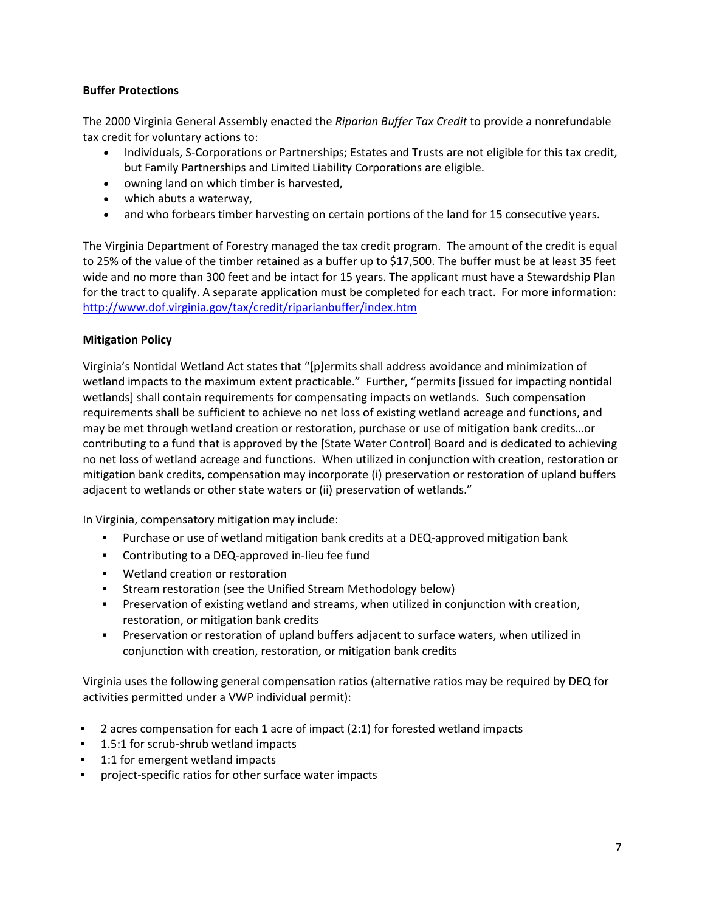# **Buffer Protections**

The 2000 Virginia General Assembly enacted the *Riparian Buffer Tax Credit* to provide a nonrefundable tax credit for voluntary actions to:

- Individuals, S-Corporations or Partnerships; Estates and Trusts are not eligible for this tax credit, but Family Partnerships and Limited Liability Corporations are eligible.
- owning land on which timber is harvested,
- which abuts a waterway,
- and who forbears timber harvesting on certain portions of the land for 15 consecutive years.

The Virginia Department of Forestry managed the tax credit program. The amount of the credit is equal to 25% of the value of the timber retained as a buffer up to \$17,500. The buffer must be at least 35 feet wide and no more than 300 feet and be intact for 15 years. The applicant must have a Stewardship Plan for the tract to qualify. A separate application must be completed for each tract. For more information: <http://www.dof.virginia.gov/tax/credit/riparianbuffer/index.htm>

# **Mitigation Policy**

Virginia's Nontidal Wetland Act states that "[p]ermits shall address avoidance and minimization of wetland impacts to the maximum extent practicable." Further, "permits [issued for impacting nontidal wetlands] shall contain requirements for compensating impacts on wetlands. Such compensation requirements shall be sufficient to achieve no net loss of existing wetland acreage and functions, and may be met through wetland creation or restoration, purchase or use of mitigation bank credits…or contributing to a fund that is approved by the [State Water Control] Board and is dedicated to achieving no net loss of wetland acreage and functions. When utilized in conjunction with creation, restoration or mitigation bank credits, compensation may incorporate (i) preservation or restoration of upland buffers adjacent to wetlands or other state waters or (ii) preservation of wetlands."

In Virginia, compensatory mitigation may include:

- Purchase or use of wetland mitigation bank credits at a DEQ-approved mitigation bank
- Contributing to a DEQ-approved in-lieu fee fund
- Wetland creation or restoration
- Stream restoration (see the Unified Stream Methodology below)
- Preservation of existing wetland and streams, when utilized in conjunction with creation, restoration, or mitigation bank credits
- Preservation or restoration of upland buffers adjacent to surface waters, when utilized in conjunction with creation, restoration, or mitigation bank credits

Virginia uses the following general compensation ratios (alternative ratios may be required by DEQ for activities permitted under a VWP individual permit):

- 2 acres compensation for each 1 acre of impact (2:1) for forested wetland impacts
- 1.5:1 for scrub-shrub wetland impacts
- 1:1 for emergent wetland impacts
- project-specific ratios for other surface water impacts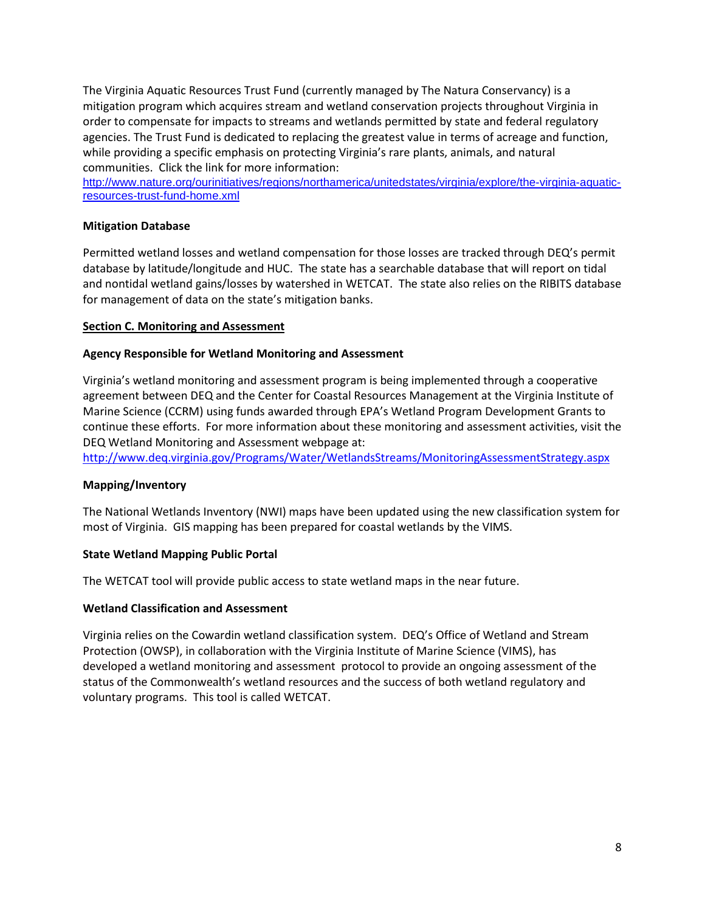The Virginia Aquatic Resources Trust Fund (currently managed by The Natura Conservancy) is a mitigation program which acquires stream and wetland conservation projects throughout Virginia in order to compensate for impacts to streams and wetlands permitted by state and federal regulatory agencies. The Trust Fund is dedicated to replacing the greatest value in terms of acreage and function, while providing a specific emphasis on protecting Virginia's rare plants, animals, and natural communities. Click the link for more information:

[http://www.nature.org/ourinitiatives/regions/northamerica/unitedstates/virginia/explore/the-virginia-aquatic](http://www.nature.org/ourinitiatives/regions/northamerica/unitedstates/virginia/explore/the-virginia-aquatic-resources-trust-fund-home.xml)[resources-trust-fund-home.xml](http://www.nature.org/ourinitiatives/regions/northamerica/unitedstates/virginia/explore/the-virginia-aquatic-resources-trust-fund-home.xml) 

### **Mitigation Database**

Permitted wetland losses and wetland compensation for those losses are tracked through DEQ's permit database by latitude/longitude and HUC. The state has a searchable database that will report on tidal and nontidal wetland gains/losses by watershed in WETCAT. The state also relies on the RIBITS database for management of data on the state's mitigation banks.

#### <span id="page-7-0"></span>**Section C. Monitoring and Assessment**

#### **Agency Responsible for Wetland Monitoring and Assessment**

Virginia's wetland monitoring and assessment program is being implemented through a cooperative agreement between DEQ and the Center for Coastal Resources Management at the Virginia Institute of Marine Science (CCRM) using funds awarded through EPA's Wetland Program Development Grants to continue these efforts. For more information about these monitoring and assessment activities, visit the DEQ Wetland Monitoring and Assessment webpage at:

<http://www.deq.virginia.gov/Programs/Water/WetlandsStreams/MonitoringAssessmentStrategy.aspx>

## **Mapping/Inventory**

The National Wetlands Inventory (NWI) maps have been updated using the new classification system for most of Virginia. GIS mapping has been prepared for coastal wetlands by the VIMS.

## **State Wetland Mapping Public Portal**

The WETCAT tool will provide public access to state wetland maps in the near future.

## **Wetland Classification and Assessment**

Virginia relies on the Cowardin wetland classification system. DEQ's Office of Wetland and Stream Protection (OWSP), in collaboration with the Virginia Institute of Marine Science (VIMS), has developed a wetland monitoring and assessment protocol to provide an ongoing assessment of the status of the Commonwealth's wetland resources and the success of both wetland regulatory and voluntary programs. This tool is called WETCAT.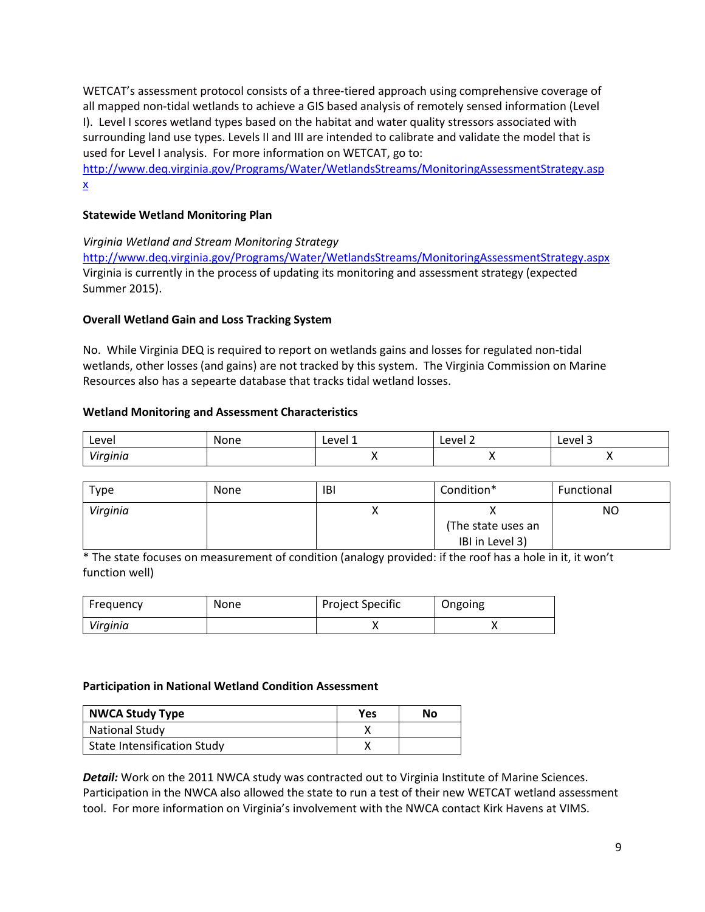WETCAT's assessment protocol consists of a three-tiered approach using comprehensive coverage of all mapped non-tidal wetlands to achieve a GIS based analysis of remotely sensed information (Level I). Level I scores wetland types based on the habitat and water quality stressors associated with surrounding land use types. Levels II and III are intended to calibrate and validate the model that is used for Level I analysis. For more information on WETCAT, go to:

[http://www.deq.virginia.gov/Programs/Water/WetlandsStreams/MonitoringAssessmentStrategy.asp](http://www.deq.virginia.gov/Programs/Water/WetlandsStreams/MonitoringAssessmentStrategy.aspx) [x](http://www.deq.virginia.gov/Programs/Water/WetlandsStreams/MonitoringAssessmentStrategy.aspx)

# **Statewide Wetland Monitoring Plan**

*Virginia Wetland and Stream Monitoring Strategy* <http://www.deq.virginia.gov/Programs/Water/WetlandsStreams/MonitoringAssessmentStrategy.aspx> Virginia is currently in the process of updating its monitoring and assessment strategy (expected Summer 2015).

# **Overall Wetland Gain and Loss Tracking System**

No. While Virginia DEQ is required to report on wetlands gains and losses for regulated non-tidal wetlands, other losses (and gains) are not tracked by this system. The Virginia Commission on Marine Resources also has a sepearte database that tracks tidal wetland losses.

## **Wetland Monitoring and Assessment Characteristics**

| Level    | None | Level 1 | Level 2 | <b>AVAL</b><br>---- |
|----------|------|---------|---------|---------------------|
| Virginia |      |         |         |                     |

| Type     | None | IBI | Condition*         | Functional |
|----------|------|-----|--------------------|------------|
| Virginia |      |     |                    | NO         |
|          |      |     | (The state uses an |            |
|          |      |     | IBI in Level 3)    |            |

\* The state focuses on measurement of condition (analogy provided: if the roof has a hole in it, it won't function well)

| Frequency | None | <b>Project Specific</b> | Ongoing |
|-----------|------|-------------------------|---------|
| Virginia  |      |                         |         |

#### **Participation in National Wetland Condition Assessment**

| NWCA Study Type                    | Yes | No |
|------------------------------------|-----|----|
| <b>National Study</b>              |     |    |
| <b>State Intensification Study</b> |     |    |

*Detail:* Work on the 2011 NWCA study was contracted out to Virginia Institute of Marine Sciences. Participation in the NWCA also allowed the state to run a test of their new WETCAT wetland assessment tool. For more information on Virginia's involvement with the NWCA contact Kirk Havens at VIMS.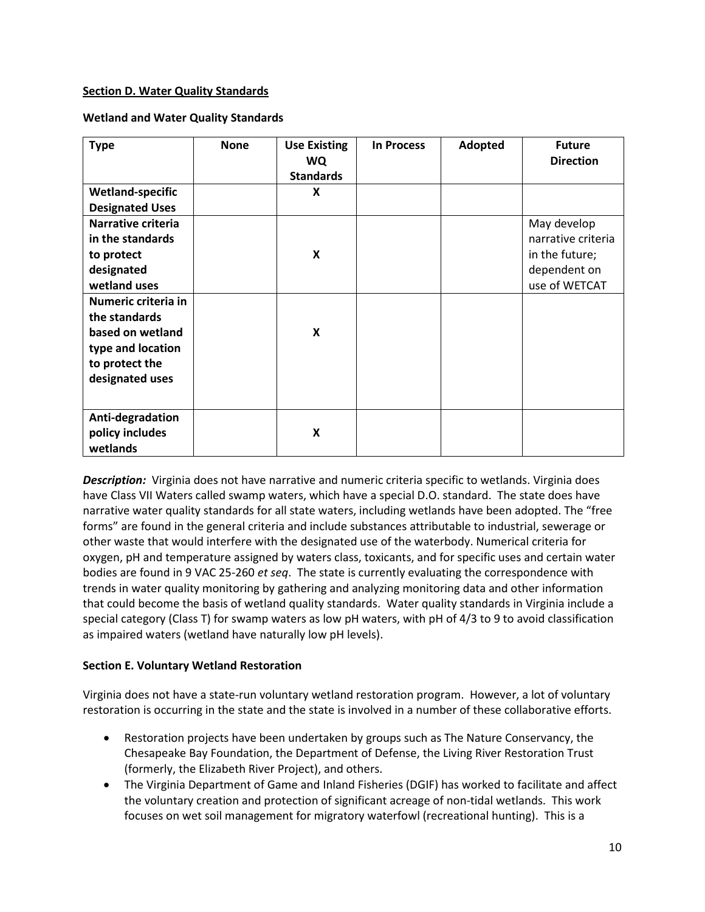## <span id="page-9-0"></span>**Section D. Water Quality Standards**

## **Wetland and Water Quality Standards**

| <b>Type</b>                                                                                                                                                                                   | <b>None</b> | <b>Use Existing</b><br><b>WQ</b><br><b>Standards</b> | <b>In Process</b> | Adopted | <b>Future</b><br><b>Direction</b>                                                    |
|-----------------------------------------------------------------------------------------------------------------------------------------------------------------------------------------------|-------------|------------------------------------------------------|-------------------|---------|--------------------------------------------------------------------------------------|
| <b>Wetland-specific</b>                                                                                                                                                                       |             | X                                                    |                   |         |                                                                                      |
| <b>Designated Uses</b><br>Narrative criteria<br>in the standards<br>to protect<br>designated<br>wetland uses<br>Numeric criteria in<br>the standards<br>based on wetland<br>type and location |             | X<br>X                                               |                   |         | May develop<br>narrative criteria<br>in the future;<br>dependent on<br>use of WETCAT |
| to protect the<br>designated uses                                                                                                                                                             |             |                                                      |                   |         |                                                                                      |
| Anti-degradation<br>policy includes<br>wetlands                                                                                                                                               |             | X                                                    |                   |         |                                                                                      |

*Description:*Virginia does not have narrative and numeric criteria specific to wetlands. Virginia does have Class VII Waters called swamp waters, which have a special D.O. standard. The state does have narrative water quality standards for all state waters, including wetlands have been adopted. The "free forms" are found in the general criteria and include substances attributable to industrial, sewerage or other waste that would interfere with the designated use of the waterbody. Numerical criteria for oxygen, pH and temperature assigned by waters class, toxicants, and for specific uses and certain water bodies are found in 9 VAC 25-260 *et seq*. The state is currently evaluating the correspondence with trends in water quality monitoring by gathering and analyzing monitoring data and other information that could become the basis of wetland quality standards. Water quality standards in Virginia include a special category (Class T) for swamp waters as low pH waters, with pH of 4/3 to 9 to avoid classification as impaired waters (wetland have naturally low pH levels).

# **Section E. Voluntary Wetland Restoration**

Virginia does not have a state-run voluntary wetland restoration program. However, a lot of voluntary restoration is occurring in the state and the state is involved in a number of these collaborative efforts.

- <span id="page-9-1"></span>• Restoration projects have been undertaken by groups such as The Nature Conservancy, the Chesapeake Bay Foundation, the Department of Defense, the Living River Restoration Trust (formerly, the Elizabeth River Project), and others.
- The Virginia Department of Game and Inland Fisheries (DGIF) has worked to facilitate and affect the voluntary creation and protection of significant acreage of non-tidal wetlands. This work focuses on wet soil management for migratory waterfowl (recreational hunting). This is a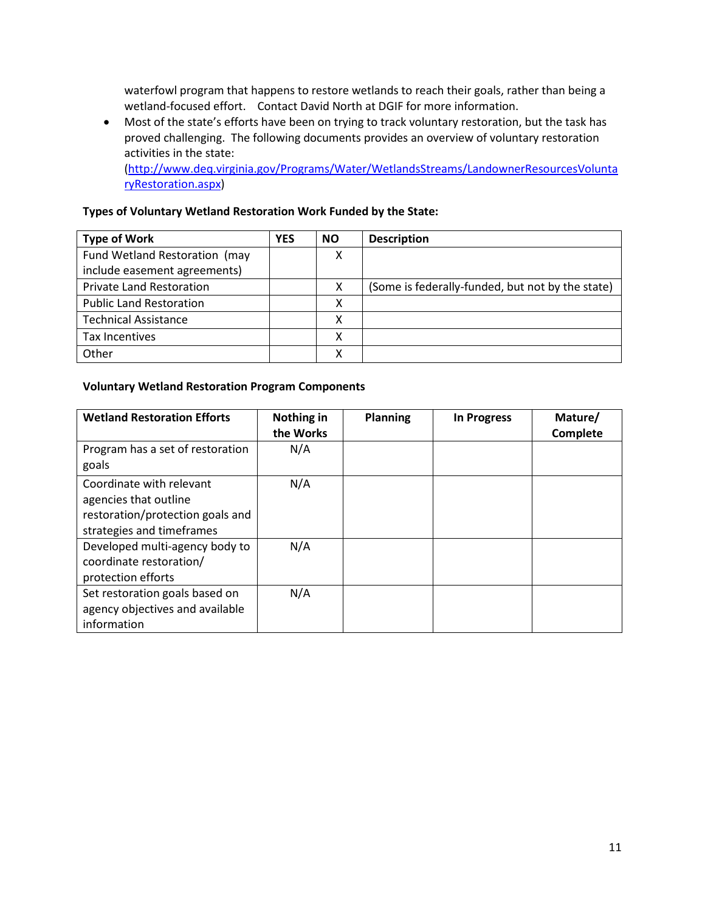waterfowl program that happens to restore wetlands to reach their goals, rather than being a wetland-focused effort. Contact David North at DGIF for more information.

• Most of the state's efforts have been on trying to track voluntary restoration, but the task has proved challenging. The following documents provides an overview of voluntary restoration activities in the state:

[\(http://www.deq.virginia.gov/Programs/Water/WetlandsStreams/LandownerResourcesVolunta](http://www.deq.virginia.gov/Programs/Water/WetlandsStreams/LandownerResourcesVoluntaryRestoration.aspx) [ryRestoration.aspx\)](http://www.deq.virginia.gov/Programs/Water/WetlandsStreams/LandownerResourcesVoluntaryRestoration.aspx)

# **Types of Voluntary Wetland Restoration Work Funded by the State:**

| <b>Type of Work</b>             | <b>YES</b> | <b>NO</b> | <b>Description</b>                               |
|---------------------------------|------------|-----------|--------------------------------------------------|
| Fund Wetland Restoration (may   |            | х         |                                                  |
| include easement agreements)    |            |           |                                                  |
| <b>Private Land Restoration</b> |            | X         | (Some is federally-funded, but not by the state) |
| <b>Public Land Restoration</b>  |            | х         |                                                  |
| <b>Technical Assistance</b>     |            |           |                                                  |
| Tax Incentives                  |            |           |                                                  |
| Other                           |            | x         |                                                  |

# **Voluntary Wetland Restoration Program Components**

| <b>Wetland Restoration Efforts</b>                                                                                 | Nothing in<br>the Works | <b>Planning</b> | <b>In Progress</b> | Mature/<br>Complete |
|--------------------------------------------------------------------------------------------------------------------|-------------------------|-----------------|--------------------|---------------------|
| Program has a set of restoration<br>goals                                                                          | N/A                     |                 |                    |                     |
| Coordinate with relevant<br>agencies that outline<br>restoration/protection goals and<br>strategies and timeframes | N/A                     |                 |                    |                     |
| Developed multi-agency body to<br>coordinate restoration/<br>protection efforts                                    | N/A                     |                 |                    |                     |
| Set restoration goals based on<br>agency objectives and available<br>information                                   | N/A                     |                 |                    |                     |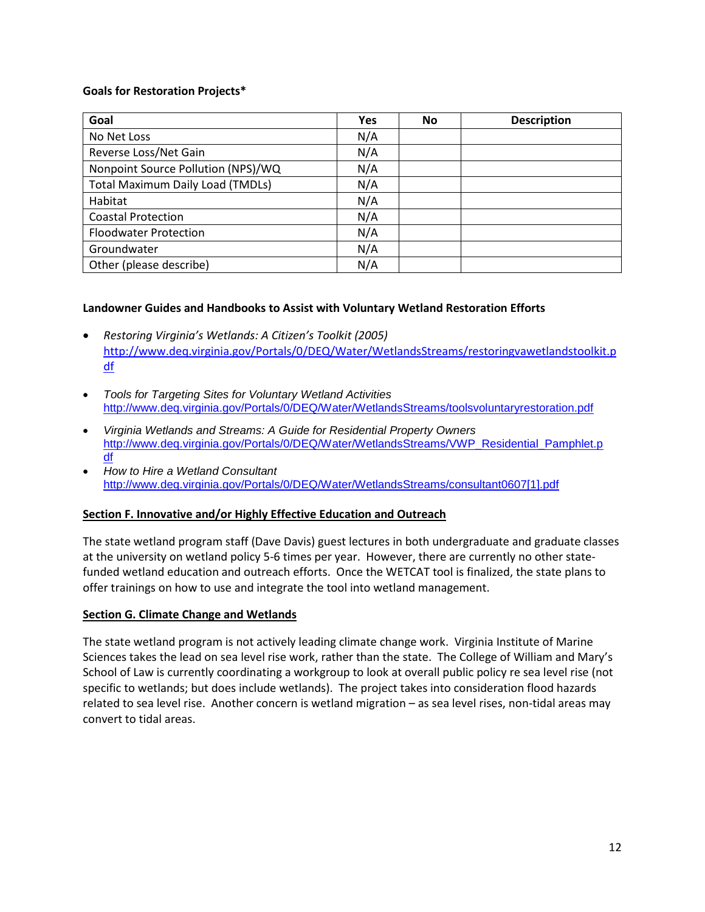## **Goals for Restoration Projects\***

| Goal                                    | <b>Yes</b> | <b>No</b> | <b>Description</b> |
|-----------------------------------------|------------|-----------|--------------------|
| No Net Loss                             | N/A        |           |                    |
| Reverse Loss/Net Gain                   | N/A        |           |                    |
| Nonpoint Source Pollution (NPS)/WQ      | N/A        |           |                    |
| <b>Total Maximum Daily Load (TMDLs)</b> | N/A        |           |                    |
| Habitat                                 | N/A        |           |                    |
| <b>Coastal Protection</b>               | N/A        |           |                    |
| <b>Floodwater Protection</b>            | N/A        |           |                    |
| Groundwater                             | N/A        |           |                    |
| Other (please describe)                 | N/A        |           |                    |

# **Landowner Guides and Handbooks to Assist with Voluntary Wetland Restoration Efforts**

- *Restoring Virginia's Wetlands: A Citizen's Toolkit (2005)* [http://www.deq.virginia.gov/Portals/0/DEQ/Water/WetlandsStreams/restoringvawetlandstoolkit.p](http://www.deq.virginia.gov/Portals/0/DEQ/Water/WetlandsStreams/restoringvawetlandstoolkit.pdf) [df](http://www.deq.virginia.gov/Portals/0/DEQ/Water/WetlandsStreams/restoringvawetlandstoolkit.pdf)
- *[Tools for Targeting Sites for Voluntary Wetland Activities](http://www.deq.virginia.gov/Portals/0/DEQ/Water/WetlandsStreams/toolsvoluntaryrestoration.pdf)* <http://www.deq.virginia.gov/Portals/0/DEQ/Water/WetlandsStreams/toolsvoluntaryrestoration.pdf>
- *[Virginia Wetlands and Streams: A Guide for Residential Property Owners](http://www.deq.virginia.gov/Portals/0/DEQ/Water/WetlandsStreams/VWP_Residential_Pamphlet.pdf)*  [http://www.deq.virginia.gov/Portals/0/DEQ/Water/WetlandsStreams/VWP\\_Residential\\_Pamphlet.p](http://www.deq.virginia.gov/Portals/0/DEQ/Water/WetlandsStreams/VWP_Residential_Pamphlet.pdf) [df](http://www.deq.virginia.gov/Portals/0/DEQ/Water/WetlandsStreams/VWP_Residential_Pamphlet.pdf)
- *[How to Hire a Wetland Consultant](http://www.deq.virginia.gov/Portals/0/DEQ/Water/WetlandsStreams/consultant0607%5b1%5d.pdf)*  [http://www.deq.virginia.gov/Portals/0/DEQ/Water/WetlandsStreams/consultant0607\[1\].pdf](http://www.deq.virginia.gov/Portals/0/DEQ/Water/WetlandsStreams/consultant0607%5b1%5d.pdf)

## <span id="page-11-0"></span>**Section F. Innovative and/or Highly Effective Education and Outreach**

The state wetland program staff (Dave Davis) guest lectures in both undergraduate and graduate classes at the university on wetland policy 5-6 times per year. However, there are currently no other statefunded wetland education and outreach efforts. Once the WETCAT tool is finalized, the state plans to offer trainings on how to use and integrate the tool into wetland management.

## **Section G. Climate Change and Wetlands**

The state wetland program is not actively leading climate change work. Virginia Institute of Marine Sciences takes the lead on sea level rise work, rather than the state. The College of William and Mary's School of Law is currently coordinating a workgroup to look at overall public policy re sea level rise (not specific to wetlands; but does include wetlands). The project takes into consideration flood hazards related to sea level rise. Another concern is wetland migration – as sea level rises, non-tidal areas may convert to tidal areas.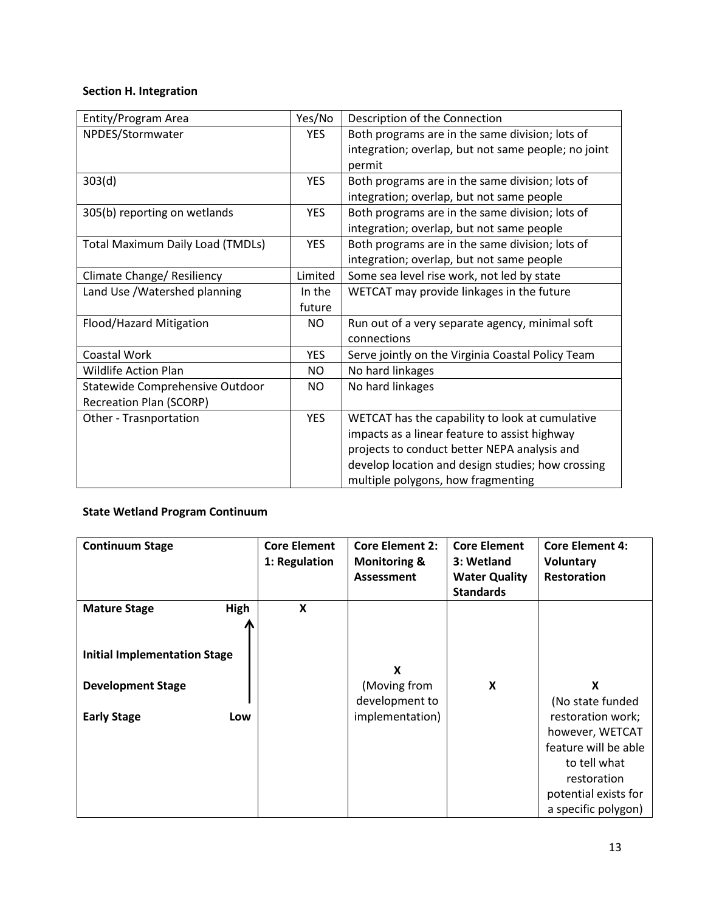# <span id="page-12-0"></span>**Section H. Integration**

| Entity/Program Area                     | Yes/No     | Description of the Connection                       |  |  |
|-----------------------------------------|------------|-----------------------------------------------------|--|--|
| NPDES/Stormwater                        | <b>YES</b> | Both programs are in the same division; lots of     |  |  |
|                                         |            | integration; overlap, but not same people; no joint |  |  |
|                                         |            | permit                                              |  |  |
| 303(d)                                  | <b>YES</b> | Both programs are in the same division; lots of     |  |  |
|                                         |            | integration; overlap, but not same people           |  |  |
| 305(b) reporting on wetlands            | <b>YES</b> | Both programs are in the same division; lots of     |  |  |
|                                         |            | integration; overlap, but not same people           |  |  |
| <b>Total Maximum Daily Load (TMDLs)</b> | <b>YES</b> | Both programs are in the same division; lots of     |  |  |
|                                         |            | integration; overlap, but not same people           |  |  |
| Climate Change/ Resiliency              | Limited    | Some sea level rise work, not led by state          |  |  |
| Land Use / Watershed planning           | In the     | WETCAT may provide linkages in the future           |  |  |
|                                         | future     |                                                     |  |  |
| Flood/Hazard Mitigation                 | NO.        | Run out of a very separate agency, minimal soft     |  |  |
|                                         |            | connections                                         |  |  |
| Coastal Work                            | <b>YES</b> | Serve jointly on the Virginia Coastal Policy Team   |  |  |
| <b>Wildlife Action Plan</b>             | <b>NO</b>  | No hard linkages                                    |  |  |
| Statewide Comprehensive Outdoor         | NO.        | No hard linkages                                    |  |  |
| <b>Recreation Plan (SCORP)</b>          |            |                                                     |  |  |
| Other - Trasnportation                  | <b>YES</b> | WETCAT has the capability to look at cumulative     |  |  |
|                                         |            | impacts as a linear feature to assist highway       |  |  |
|                                         |            | projects to conduct better NEPA analysis and        |  |  |
|                                         |            | develop location and design studies; how crossing   |  |  |
|                                         |            | multiple polygons, how fragmenting                  |  |  |

# **State Wetland Program Continuum**

| <b>Continuum Stage</b>              | <b>Core Element</b><br>1: Regulation | <b>Core Element 2:</b><br><b>Monitoring &amp;</b><br>Assessment | <b>Core Element</b><br>3: Wetland<br><b>Water Quality</b><br><b>Standards</b> | <b>Core Element 4:</b><br><b>Voluntary</b><br><b>Restoration</b>                                                                           |
|-------------------------------------|--------------------------------------|-----------------------------------------------------------------|-------------------------------------------------------------------------------|--------------------------------------------------------------------------------------------------------------------------------------------|
| <b>Mature Stage</b>                 | X<br>High                            |                                                                 |                                                                               |                                                                                                                                            |
| <b>Initial Implementation Stage</b> |                                      | X                                                               |                                                                               |                                                                                                                                            |
| <b>Development Stage</b>            |                                      | (Moving from<br>development to                                  | X                                                                             | X<br>(No state funded                                                                                                                      |
| <b>Early Stage</b>                  | Low                                  | implementation)                                                 |                                                                               | restoration work;<br>however, WETCAT<br>feature will be able<br>to tell what<br>restoration<br>potential exists for<br>a specific polygon) |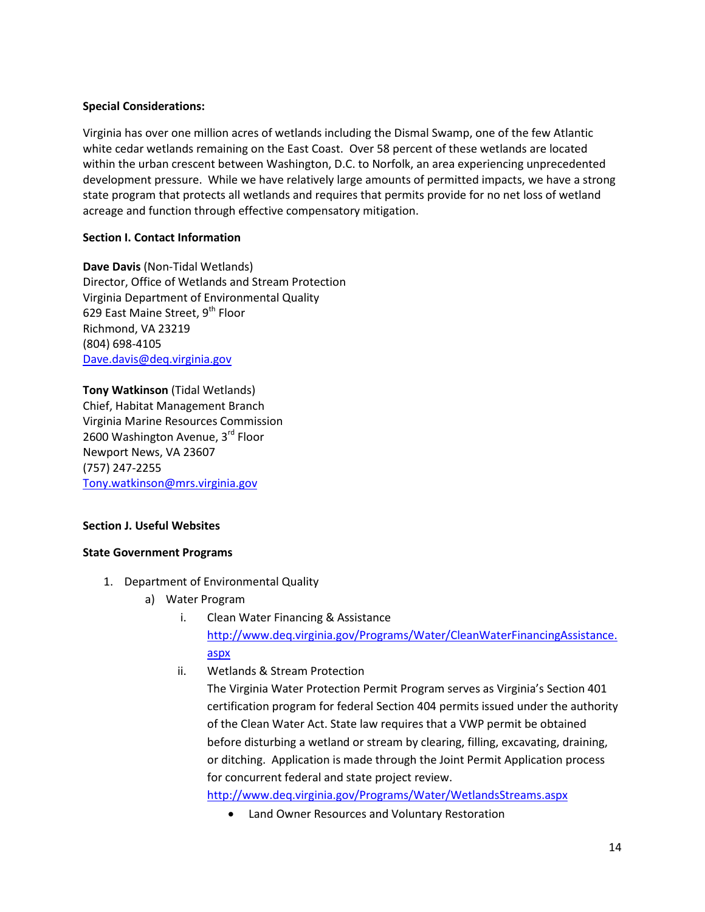## **Special Considerations:**

Virginia has over one million acres of wetlands including the Dismal Swamp, one of the few Atlantic white cedar wetlands remaining on the East Coast. Over 58 percent of these wetlands are located within the urban crescent between Washington, D.C. to Norfolk, an area experiencing unprecedented development pressure. While we have relatively large amounts of permitted impacts, we have a strong state program that protects all wetlands and requires that permits provide for no net loss of wetland acreage and function through effective compensatory mitigation.

# **Section I. Contact Information**

**Dave Davis** (Non-Tidal Wetlands) Director, Office of Wetlands and Stream Protection Virginia Department of Environmental Quality 629 East Maine Street, 9<sup>th</sup> Floor Richmond, VA 23219 (804) 698-4105 [Dave.davis@deq.virginia.gov](mailto:Dave.davis@deq.virginia.gov)

**Tony Watkinson** (Tidal Wetlands) Chief, Habitat Management Branch Virginia Marine Resources Commission 2600 Washington Avenue, 3rd Floor Newport News, VA 23607 (757) 247-2255 [Tony.watkinson@mrs.virginia.gov](mailto:Tony.watkinson@mrs.virginia.gov)

# **Section J. Useful Websites**

## **State Government Programs**

- 1. Department of Environmental Quality
	- a) Water Program
		- i. Clean Water Financing & Assistance [http://www.deq.virginia.gov/Programs/Water/CleanWaterFinancingAssistance.](http://www.deq.virginia.gov/Programs/Water/CleanWaterFinancingAssistance.aspx) [aspx](http://www.deq.virginia.gov/Programs/Water/CleanWaterFinancingAssistance.aspx)
		- ii. Wetlands & Stream Protection

The Virginia Water Protection Permit Program serves as Virginia's Section 401 certification program for federal Section 404 permits issued under the authority of the Clean Water Act. State law requires that a VWP permit be obtained before disturbing a wetland or stream by clearing, filling, excavating, draining, or ditching. Application is made through the Joint Permit Application process for concurrent federal and state project review.

<http://www.deq.virginia.gov/Programs/Water/WetlandsStreams.aspx>

• Land Owner Resources and Voluntary Restoration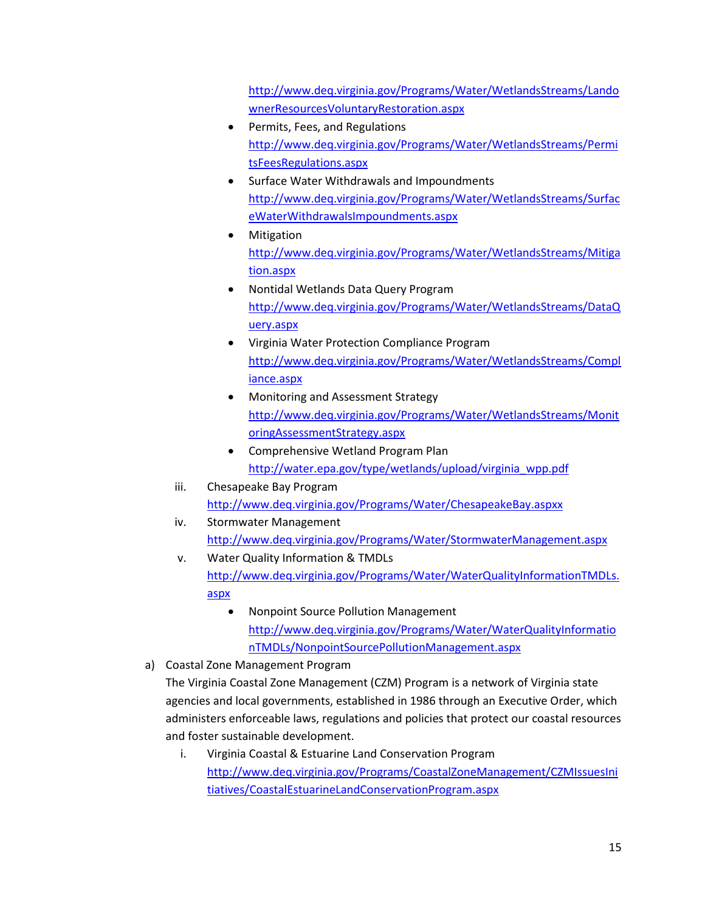[http://www.deq.virginia.gov/Programs/Water/WetlandsStreams/Lando](http://www.deq.virginia.gov/Programs/Water/WetlandsStreams/LandownerResourcesVoluntaryRestoration.aspx) [wnerResourcesVoluntaryRestoration.aspx](http://www.deq.virginia.gov/Programs/Water/WetlandsStreams/LandownerResourcesVoluntaryRestoration.aspx)

- Permits, Fees, and Regulations [http://www.deq.virginia.gov/Programs/Water/WetlandsStreams/Permi](http://www.deq.virginia.gov/Programs/Water/WetlandsStreams/PermitsFeesRegulations.aspx) [tsFeesRegulations.aspx](http://www.deq.virginia.gov/Programs/Water/WetlandsStreams/PermitsFeesRegulations.aspx)
- Surface Water Withdrawals and Impoundments [http://www.deq.virginia.gov/Programs/Water/WetlandsStreams/Surfac](http://www.deq.virginia.gov/Programs/Water/WetlandsStreams/SurfaceWaterWithdrawalsImpoundments.aspx) [eWaterWithdrawalsImpoundments.aspx](http://www.deq.virginia.gov/Programs/Water/WetlandsStreams/SurfaceWaterWithdrawalsImpoundments.aspx)
- Mitigation [http://www.deq.virginia.gov/Programs/Water/WetlandsStreams/Mitiga](http://www.deq.virginia.gov/Programs/Water/WetlandsStreams/Mitigation.aspx) [tion.aspx](http://www.deq.virginia.gov/Programs/Water/WetlandsStreams/Mitigation.aspx)
- Nontidal Wetlands Data Query Program [http://www.deq.virginia.gov/Programs/Water/WetlandsStreams/DataQ](http://www.deq.virginia.gov/Programs/Water/WetlandsStreams/DataQuery.aspx) [uery.aspx](http://www.deq.virginia.gov/Programs/Water/WetlandsStreams/DataQuery.aspx)
- Virginia Water Protection Compliance Program [http://www.deq.virginia.gov/Programs/Water/WetlandsStreams/Compl](http://www.deq.virginia.gov/Programs/Water/WetlandsStreams/Compliance.aspx) [iance.aspx](http://www.deq.virginia.gov/Programs/Water/WetlandsStreams/Compliance.aspx)
- Monitoring and Assessment Strategy [http://www.deq.virginia.gov/Programs/Water/WetlandsStreams/Monit](http://www.deq.virginia.gov/Programs/Water/WetlandsStreams/MonitoringAssessmentStrategy.aspx) [oringAssessmentStrategy.aspx](http://www.deq.virginia.gov/Programs/Water/WetlandsStreams/MonitoringAssessmentStrategy.aspx)
- Comprehensive Wetland Program Plan [http://water.epa.gov/type/wetlands/upload/virginia\\_wpp.pdf](http://water.epa.gov/type/wetlands/upload/virginia_wpp.pdf)
- iii. Chesapeake Bay Program <http://www.deq.virginia.gov/Programs/Water/ChesapeakeBay.aspxx>
- iv. Stormwater Management <http://www.deq.virginia.gov/Programs/Water/StormwaterManagement.aspx>
- v. Water Quality Information & TMDLs [http://www.deq.virginia.gov/Programs/Water/WaterQualityInformationTMDLs.](http://www.deq.virginia.gov/Programs/Water/WaterQualityInformationTMDLs.aspx) [aspx](http://www.deq.virginia.gov/Programs/Water/WaterQualityInformationTMDLs.aspx)
	- Nonpoint Source Pollution Management [http://www.deq.virginia.gov/Programs/Water/WaterQualityInformatio](http://www.deq.virginia.gov/Programs/Water/WaterQualityInformationTMDLs/NonpointSourcePollutionManagement.aspx) [nTMDLs/NonpointSourcePollutionManagement.aspx](http://www.deq.virginia.gov/Programs/Water/WaterQualityInformationTMDLs/NonpointSourcePollutionManagement.aspx)
- a) Coastal Zone Management Program

The Virginia Coastal Zone Management (CZM) Program is a network of Virginia state agencies and local governments, established in 1986 through an Executive Order, which administers enforceable laws, regulations and policies that protect our coastal resources and foster sustainable development.

i. Virginia Coastal & Estuarine Land Conservation Program [http://www.deq.virginia.gov/Programs/CoastalZoneManagement/CZMIssuesIni](http://www.deq.virginia.gov/Programs/CoastalZoneManagement/CZMIssuesInitiatives/CoastalEstuarineLandConservationProgram.aspx) [tiatives/CoastalEstuarineLandConservationProgram.aspx](http://www.deq.virginia.gov/Programs/CoastalZoneManagement/CZMIssuesInitiatives/CoastalEstuarineLandConservationProgram.aspx)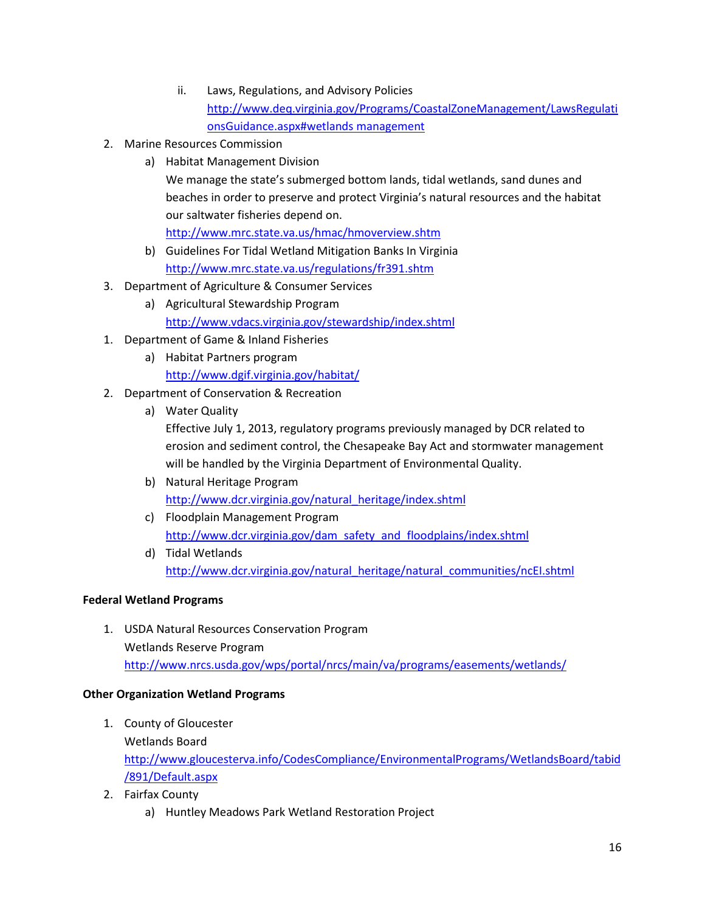- ii. Laws, Regulations, and Advisory Policies [http://www.deq.virginia.gov/Programs/CoastalZoneManagement/LawsRegulati](http://www.deq.virginia.gov/Programs/CoastalZoneManagement/LawsRegulationsGuidance.aspx#wetlands management) [onsGuidance.aspx#wetlands management](http://www.deq.virginia.gov/Programs/CoastalZoneManagement/LawsRegulationsGuidance.aspx#wetlands management)
- 2. Marine Resources Commission
	- a) Habitat Management Division We manage the state's submerged bottom lands, tidal wetlands, sand dunes and beaches in order to preserve and protect Virginia's natural resources and the habitat our saltwater fisheries depend on. <http://www.mrc.state.va.us/hmac/hmoverview.shtm>
	- b) Guidelines For Tidal Wetland Mitigation Banks In Virginia <http://www.mrc.state.va.us/regulations/fr391.shtm>
- 3. Department of Agriculture & Consumer Services
	- a) Agricultural Stewardship Program <http://www.vdacs.virginia.gov/stewardship/index.shtml>
- 1. Department of Game & Inland Fisheries
	- a) Habitat Partners program <http://www.dgif.virginia.gov/habitat/>
- 2. Department of Conservation & Recreation
	- a) Water Quality Effective July 1, 2013, regulatory programs previously managed by DCR related to erosion and sediment control, the Chesapeake Bay Act and stormwater management will be handled by the Virginia Department of Environmental Quality.
	- b) Natural Heritage Program [http://www.dcr.virginia.gov/natural\\_heritage/index.shtml](http://www.dcr.virginia.gov/natural_heritage/index.shtml)
	- c) Floodplain Management Program [http://www.dcr.virginia.gov/dam\\_safety\\_and\\_floodplains/index.shtml](http://www.dcr.virginia.gov/dam_safety_and_floodplains/index.shtml)
	- d) Tidal Wetlands [http://www.dcr.virginia.gov/natural\\_heritage/natural\\_communities/ncEI.shtml](http://www.dcr.virginia.gov/natural_heritage/natural_communities/ncEI.shtml)

## **Federal Wetland Programs**

1. USDA Natural Resources Conservation Program Wetlands Reserve Program <http://www.nrcs.usda.gov/wps/portal/nrcs/main/va/programs/easements/wetlands/>

## **Other Organization Wetland Programs**

- 1. County of Gloucester Wetlands Board [http://www.gloucesterva.info/CodesCompliance/EnvironmentalPrograms/WetlandsBoard/tabid](http://www.gloucesterva.info/CodesCompliance/EnvironmentalPrograms/WetlandsBoard/tabid/891/Default.aspx) [/891/Default.aspx](http://www.gloucesterva.info/CodesCompliance/EnvironmentalPrograms/WetlandsBoard/tabid/891/Default.aspx)
- 2. Fairfax County
	- a) Huntley Meadows Park Wetland Restoration Project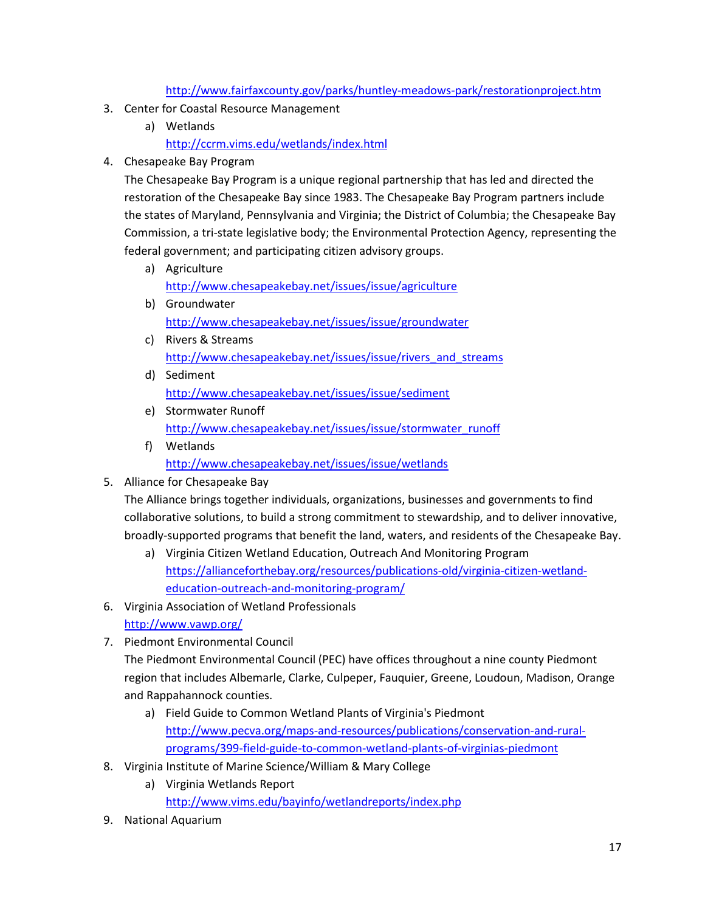<http://www.fairfaxcounty.gov/parks/huntley-meadows-park/restorationproject.htm>

- 3. Center for Coastal Resource Management
	- a) Wetlands <http://ccrm.vims.edu/wetlands/index.html>
- 4. Chesapeake Bay Program

The Chesapeake Bay Program is a unique regional partnership that has led and directed the restoration of the Chesapeake Bay since 1983. The Chesapeake Bay Program partners include the states of Maryland, Pennsylvania and Virginia; the District of Columbia; the Chesapeake Bay Commission, a tri-state legislative body; the Environmental Protection Agency, representing the federal government; and participating citizen advisory groups.

- a) Agriculture <http://www.chesapeakebay.net/issues/issue/agriculture>
- b) Groundwater <http://www.chesapeakebay.net/issues/issue/groundwater>
- c) Rivers & Streams [http://www.chesapeakebay.net/issues/issue/rivers\\_and\\_streams](http://www.chesapeakebay.net/issues/issue/rivers_and_streams)
- d) Sediment <http://www.chesapeakebay.net/issues/issue/sediment>
- e) Stormwater Runoff [http://www.chesapeakebay.net/issues/issue/stormwater\\_runoff](http://www.chesapeakebay.net/issues/issue/stormwater_runoff)
- f) Wetlands <http://www.chesapeakebay.net/issues/issue/wetlands>
- 5. Alliance for Chesapeake Bay

The Alliance brings together individuals, organizations, businesses and governments to find collaborative solutions, to build a strong commitment to stewardship, and to deliver innovative, broadly-supported programs that benefit the land, waters, and residents of the Chesapeake Bay.

- a) Virginia Citizen Wetland Education, Outreach And Monitoring Program [https://allianceforthebay.org/resources/publications-old/virginia-citizen-wetland](https://allianceforthebay.org/resources/publications-old/virginia-citizen-wetland-education-outreach-and-monitoring-program/)[education-outreach-and-monitoring-program/](https://allianceforthebay.org/resources/publications-old/virginia-citizen-wetland-education-outreach-and-monitoring-program/)
- 6. Virginia Association of Wetland Professionals

<http://www.vawp.org/>

7. Piedmont Environmental Council

The Piedmont Environmental Council (PEC) have offices throughout a nine county Piedmont region that includes Albemarle, Clarke, Culpeper, Fauquier, Greene, Loudoun, Madison, Orange and Rappahannock counties.

- a) Field Guide to Common Wetland Plants of Virginia's Piedmont [http://www.pecva.org/maps-and-resources/publications/conservation-and-rural](http://www.pecva.org/maps-and-resources/publications/conservation-and-rural-programs/399-field-guide-to-common-wetland-plants-of-virginias-piedmont)[programs/399-field-guide-to-common-wetland-plants-of-virginias-piedmont](http://www.pecva.org/maps-and-resources/publications/conservation-and-rural-programs/399-field-guide-to-common-wetland-plants-of-virginias-piedmont)
- 8. Virginia Institute of Marine Science/William & Mary College
	- a) Virginia Wetlands Report <http://www.vims.edu/bayinfo/wetlandreports/index.php>
- 9. National Aquarium